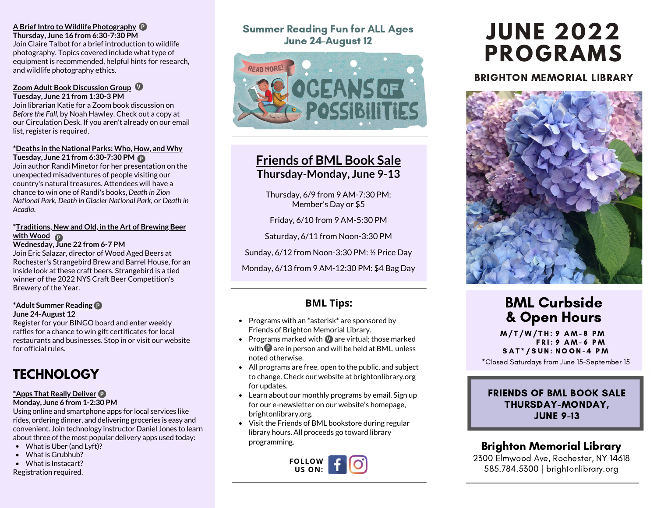### **A Brief Intro to Wildlife Photography** P

**Thursday, June 16 from 6:30-7:30 PM** Join Claire Talbot for a brief introduction to wildlife

photography. Topics covered include what type of equipment is recommended, helpful hints for research, and wildlife photography ethics.

#### **Zoom Adult Book Discussion Group** V **Tuesday, June 21 from 1:30-3 PM**

Join librarian Katie for a Zoom book discussion on *Before the Fall,* by Noah Hawley. Check out a copy at our Circulation Desk. If you aren't already on our email list, register is required.

#### **\*Deaths in the National Parks: Who, How, and Why Tuesday, June 21 from 6:30-7:30 PM** P

Join author Randi Minetor for her presentation on the unexpected misadventures of people visiting our country's natural treasures. Attendees will have a chance to win one of Randi's books, *Death in Zion National Park, Death in Glacier National Park,* or *Death in Acadia*.

#### **\*Traditions, New and Old, in the Art of Brewing Beer with Wood** P

**Wednesday, June 22 from 6-7 PM** Join Eric Salazar, director of Wood Aged Beers at Rochester's Strangebird Brew and Barrel House, for an inside look at these craft beers. Strangebird is a tied winner of the 2022 NYS Craft Beer Competition's Brewery of the Year.

### **\*Adult Summer Reading** P

**June 24-August 12**

Register for your BINGO board and enter weekly raffles for a chance to win gift certificates for local restaurants and businesses. Stop in or visit our website for official rules.

# **TECHNOLOGY**

# P **\*Apps That Really Deliver**

**Monday, June 6 from 1-2:30 PM**

Using online and smartphone apps for local services like rides, ordering dinner, and delivering groceries is easy and convenient. Join technology instructor Daniel Jones to learn about three of the most popular delivery apps used today:

- What is Uber (and Lyft)?
- What is Grubhub?
- What is Instacart?

Registration required.

# Summer Reading Fun for ALL Ages June 24-August 12



# **Friends of BML Book Sale Thursday-Monday, June 9-13**

Thursday, 6/9 from 9 AM-7:30 PM: Member's Day or \$5

Friday, 6/10 from 9 AM-5:30 PM

Saturday, 6/11 from Noon-3:30 PM

Sunday, 6/12 from Noon-3:30 PM: ½ Price Day

Monday, 6/13 from 9 AM-12:30 PM: \$4 Bag Day

# **BML Tips:**

- Programs with an  $*$  asterisk $*$  are sponsored by Friends of Brighton Memorial Library.
- Programs marked with  $\blacksquare$  are virtual; those marked with  $\mathbf P$  are in person and will be held at BML, unless noted otherwise.
- All programs are free, open to the public, and subject to change. Check our website at brightonlibrary.org for updates.
- Learn about our monthly programs by email. Sign up for our e-newsletter on our website's homepage, brightonlibrary.org.
- Visit the Friends of BML bookstore during regular library hours. All proceeds go toward library programming.



# **JUNE 2022 PROGRAMS**

# BRIGHTON MEMORIAL LIBRARY



# BML Curbside & Open Hours

M / T / W / T H : 9 A M - 8 P M F R I : 9 A M - 6 P M SAT\*/SUN: NOON-4 PM

\*Closed Saturdays from June 15-September 15

# FRIENDS OF BML BOOK SALE THURSDAY-MONDAY, JUNE 9-13

# Brighton Memorial Library

2300 Elmwood Ave, Rochester, NY 14618 585.784.5300 | brightonlibrary.org